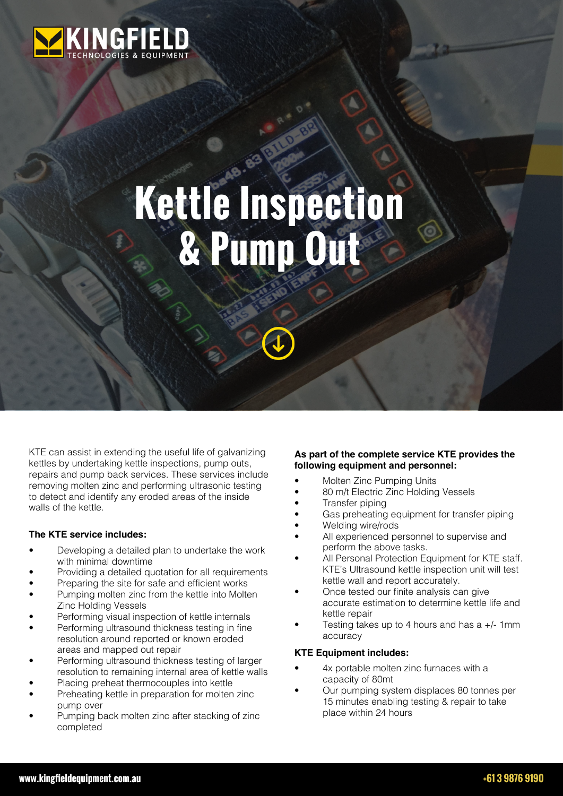

# **Kettle Inspection & Pump Out**

KTE can assist in extending the useful life of galvanizing kettles by undertaking kettle inspections, pump outs, repairs and pump back services. These services include removing molten zinc and performing ultrasonic testing to detect and identify any eroded areas of the inside walls of the kettle.

#### **The KTE service includes:**

- Developing a detailed plan to undertake the work with minimal downtime
- Providing a detailed quotation for all requirements
- Preparing the site for safe and efficient works
- Pumping molten zinc from the kettle into Molten Zinc Holding Vessels
- Performing visual inspection of kettle internals
- Performing ultrasound thickness testing in fine resolution around reported or known eroded areas and mapped out repair
- Performing ultrasound thickness testing of larger resolution to remaining internal area of kettle walls
- Placing preheat thermocouples into kettle
- Preheating kettle in preparation for molten zinc pump over
- Pumping back molten zinc after stacking of zinc completed

## **As part of the complete service KTE provides the following equipment and personnel:**

- Molten Zinc Pumping Units
- 80 m/t Electric Zinc Holding Vessels
- Transfer piping
- Gas preheating equipment for transfer piping
- Welding wire/rods All experienced personnel to supervise and
- perform the above tasks.
- All Personal Protection Equipment for KTE staff. KTE's Ultrasound kettle inspection unit will test kettle wall and report accurately.
- Once tested our finite analysis can give accurate estimation to determine kettle life and kettle repair
- Testing takes up to 4 hours and has a  $+/-$  1mm accuracy

# **KTE Equipment includes:**

- 4x portable molten zinc furnaces with a capacity of 80mt
- Our pumping system displaces 80 tonnes per 15 minutes enabling testing & repair to take place within 24 hours